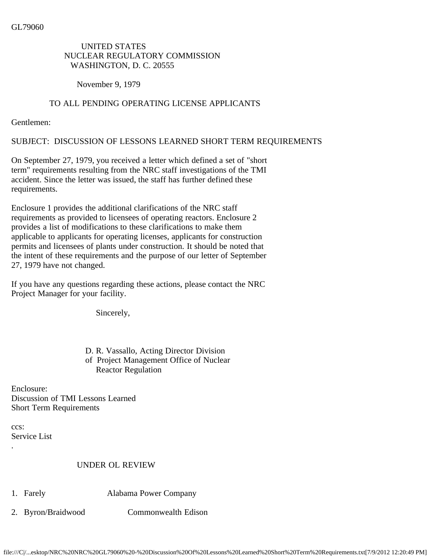## UNITED STATES NUCLEAR REGULATORY COMMISSION WASHINGTON, D. C. 20555

November 9, 1979

## TO ALL PENDING OPERATING LICENSE APPLICANTS

Gentlemen:

SUBJECT: DISCUSSION OF LESSONS LEARNED SHORT TERM REQUIREMENTS

On September 27, 1979, you received a letter which defined a set of "short term" requirements resulting from the NRC staff investigations of the TMI accident. Since the letter was issued, the staff has further defined these requirements.

Enclosure 1 provides the additional clarifications of the NRC staff requirements as provided to licensees of operating reactors. Enclosure 2 provides a list of modifications to these clarifications to make them applicable to applicants for operating licenses, applicants for construction permits and licensees of plants under construction. It should be noted that the intent of these requirements and the purpose of our letter of September 27, 1979 have not changed.

If you have any questions regarding these actions, please contact the NRC Project Manager for your facility.

Sincerely,

 D. R. Vassallo, Acting Director Division of Project Management Office of Nuclear Reactor Regulation

Enclosure: Discussion of TMI Lessons Learned Short Term Requirements

ccs: Service List

.

## UNDER OL REVIEW

- 1. Farely Alabama Power Company
- 2. Byron/Braidwood Commonwealth Edison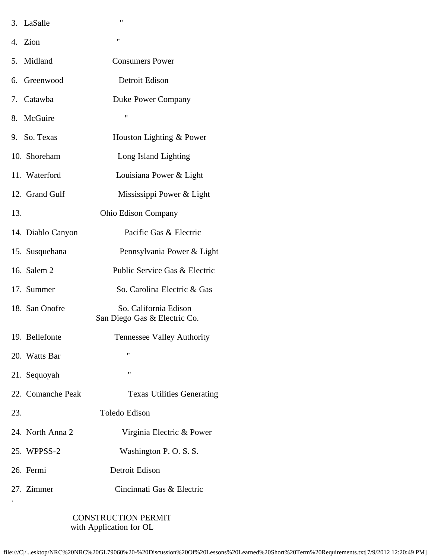|     | 3. LaSalle        | $^{\prime\prime}$                                     |
|-----|-------------------|-------------------------------------------------------|
|     | 4. Zion           | $^{\prime\prime}$                                     |
| 5.  | Midland           | <b>Consumers Power</b>                                |
| 6.  | Greenwood         | Detroit Edison                                        |
|     | 7. Catawba        | Duke Power Company                                    |
| 8.  | McGuire           | 11                                                    |
|     | 9. So. Texas      | Houston Lighting & Power                              |
|     | 10. Shoreham      | Long Island Lighting                                  |
|     | 11. Waterford     | Louisiana Power & Light                               |
|     | 12. Grand Gulf    | Mississippi Power & Light                             |
| 13. |                   | <b>Ohio Edison Company</b>                            |
|     | 14. Diablo Canyon | Pacific Gas & Electric                                |
|     | 15. Susquehana    | Pennsylvania Power & Light                            |
|     | 16. Salem 2       | Public Service Gas & Electric                         |
|     | 17. Summer        | So. Carolina Electric & Gas                           |
|     | 18. San Onofre    | So. California Edison<br>San Diego Gas & Electric Co. |
|     | 19. Bellefonte    | Tennessee Valley Authority                            |
|     | 20. Watts Bar     | "                                                     |
|     | 21. Sequoyah      | 11                                                    |
|     | 22. Comanche Peak | <b>Texas Utilities Generating</b>                     |
| 23. |                   | Toledo Edison                                         |
|     | 24. North Anna 2  | Virginia Electric & Power                             |
|     | 25. WPPSS-2       | Washington P.O.S.S.                                   |
|     | 26. Fermi         | Detroit Edison                                        |
|     | 27. Zimmer        | Cincinnati Gas & Electric                             |
|     |                   |                                                       |

 CONSTRUCTION PERMIT with Application for OL